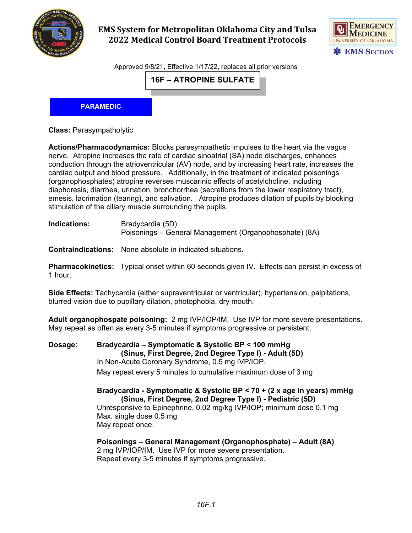

## **EMS System for Metropolitan Oklahoma City and Tulsa 2022 Medical Control Board Treatment Protocols**



Approved 9/8/21, Effective 1/17/22, replaces all prior versions

**16F – ATROPINE SULFATE**

**PARAMEDIC**

**Class:** Parasympatholytic

**Actions/Pharmacodynamics:** Blocks parasympathetic impulses to the heart via the vagus nerve. Atropine increases the rate of cardiac sinoatrial (SA) node discharges, enhances conduction through the atrioventricular (AV) node, and by increasing heart rate, increases the cardiac output and blood pressure. Additionally, in the treatment of indicated poisonings (organophosphates) atropine reverses muscarinic effects of acetylcholine, including diaphoresis, diarrhea, urination, bronchorrhea (secretions from the lower respiratory tract), emesis, lacrimation (tearing), and salivation. Atropine produces dilation of pupils by blocking stimulation of the ciliary muscle surrounding the pupils.

| Indications: | Bradycardia (5D)<br>Poisonings – General Management (Organophosphate) (8A)                          |
|--------------|-----------------------------------------------------------------------------------------------------|
|              | <b>Contraindications:</b> None absolute in indicated situations.                                    |
| 1 hour.      | <b>Pharmacokinetics:</b> Typical onset within 60 seconds given IV. Effects can persist in excess of |

**Side Effects:** Tachycardia (either supraventricular or ventricular), hypertension, palpitations, blurred vision due to pupillary dilation, photophobia, dry mouth.

**Adult organophospate poisoning:** 2 mg IVP/IOP/IM. Use IVP for more severe presentations. May repeat as often as every 3-5 minutes if symptoms progressive or persistent.

**Dosage: Bradycardia – Symptomatic & Systolic BP < 100 mmHg (Sinus, First Degree, 2nd Degree Type I) - Adult (5D)** In Non-Acute Coronary Syndrome, 0.5 mg IVP/IOP. May repeat every 5 minutes to cumulative maximum dose of 3 mg

> **Bradycardia - Symptomatic & Systolic BP < 70 + (2 x age in years) mmHg (Sinus, First Degree, 2nd Degree Type I) - Pediatric (5D)** Unresponsive to Epinephrine, 0.02 mg/kg IVP/IOP; minimum dose 0.1 mg Max. single dose 0.5 mg May repeat once.

**Poisonings – General Management (Organophosphate) – Adult (8A)** 2 mg IVP/IOP/IM. Use IVP for more severe presentation. Repeat every 3-5 minutes if symptoms progressive.